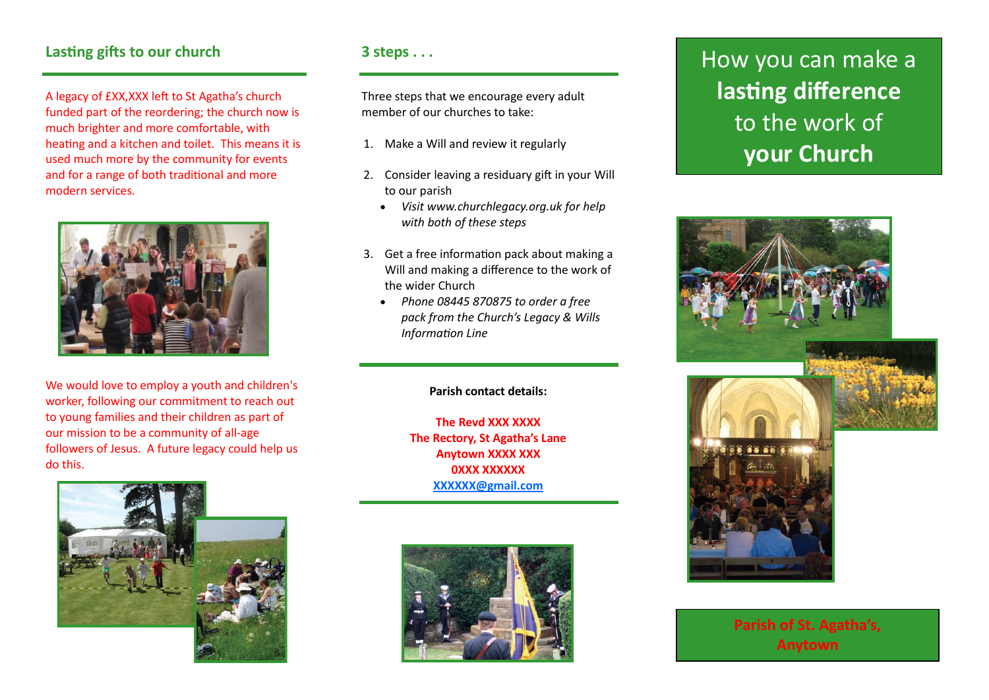A legacy of £XX,XXX left to St Agatha's church funded part of the reordering; the church now is much brighter and more comfortable, with heating and a kitchen and toilet. This means it is used much more by the community for events and for a range of both traditional and more modern services.



We would love to employ a youth and children's worker, following our commitment to reach out to young families and their children as part of our mission to be a community of all-age followers of Jesus. A future legacy could help us do this.



Three steps that we encourage every adult member of our churches to take:

- 1. Make a Will and review it regularly
- 2. Consider leaving a residuary gift in your Will to our parish
	- *Visit www.churchlegacy.org.uk for help with both of these steps*
- 3. Get a free information pack about making a Will and making a difference to the work of the wider Church
	- *Phone 08445 870875 to order a free pack from the Church's Legacy & Wills Information Line*

### **Parish contact details:**

**The Revd XXX XXXX The Rectory, St Agatha's Lane Anytown XXXX XXX 0XXX XXXXXX [XXXXXX@gmail.com](mailto:XXXXXX@gmail.com)**



# Lasting gifts to our church **3 steps . . . How you can make a lasting difference** to the work of **your Church**



**Parish of St. Agatha's, Anytown**